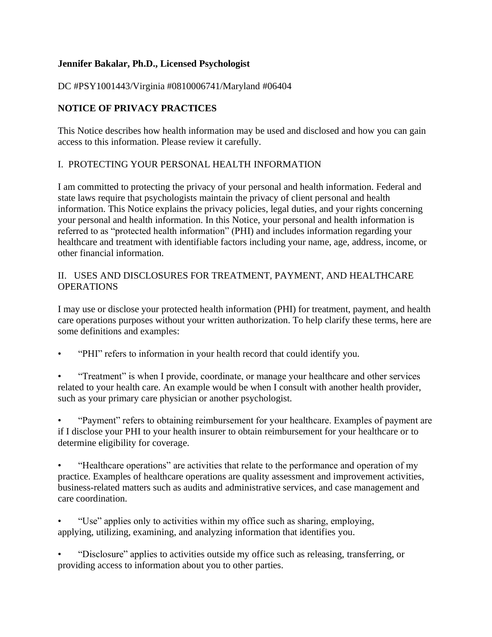## **Jennifer Bakalar, Ph.D., Licensed Psychologist**

DC #PSY1001443/Virginia #0810006741/Maryland #06404

# **NOTICE OF PRIVACY PRACTICES**

This Notice describes how health information may be used and disclosed and how you can gain access to this information. Please review it carefully.

## I. PROTECTING YOUR PERSONAL HEALTH INFORMATION

I am committed to protecting the privacy of your personal and health information. Federal and state laws require that psychologists maintain the privacy of client personal and health information. This Notice explains the privacy policies, legal duties, and your rights concerning your personal and health information. In this Notice, your personal and health information is referred to as "protected health information" (PHI) and includes information regarding your healthcare and treatment with identifiable factors including your name, age, address, income, or other financial information.

### II. USES AND DISCLOSURES FOR TREATMENT, PAYMENT, AND HEALTHCARE **OPERATIONS**

I may use or disclose your protected health information (PHI) for treatment, payment, and health care operations purposes without your written authorization. To help clarify these terms, here are some definitions and examples:

• "PHI" refers to information in your health record that could identify you.

• "Treatment" is when I provide, coordinate, or manage your healthcare and other services related to your health care. An example would be when I consult with another health provider, such as your primary care physician or another psychologist.

• "Payment" refers to obtaining reimbursement for your healthcare. Examples of payment are if I disclose your PHI to your health insurer to obtain reimbursement for your healthcare or to determine eligibility for coverage.

• "Healthcare operations" are activities that relate to the performance and operation of my practice. Examples of healthcare operations are quality assessment and improvement activities, business-related matters such as audits and administrative services, and case management and care coordination.

• "Use" applies only to activities within my office such as sharing, employing, applying, utilizing, examining, and analyzing information that identifies you.

• "Disclosure" applies to activities outside my office such as releasing, transferring, or providing access to information about you to other parties.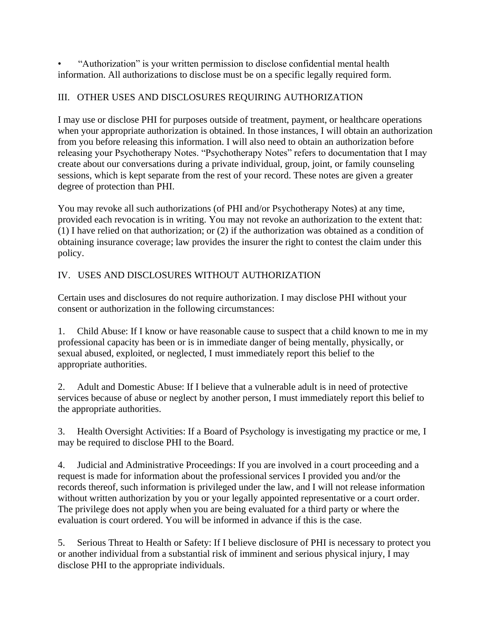• "Authorization" is your written permission to disclose confidential mental health information. All authorizations to disclose must be on a specific legally required form.

# III. OTHER USES AND DISCLOSURES REQUIRING AUTHORIZATION

I may use or disclose PHI for purposes outside of treatment, payment, or healthcare operations when your appropriate authorization is obtained. In those instances, I will obtain an authorization from you before releasing this information. I will also need to obtain an authorization before releasing your Psychotherapy Notes. "Psychotherapy Notes" refers to documentation that I may create about our conversations during a private individual, group, joint, or family counseling sessions, which is kept separate from the rest of your record. These notes are given a greater degree of protection than PHI.

You may revoke all such authorizations (of PHI and/or Psychotherapy Notes) at any time, provided each revocation is in writing. You may not revoke an authorization to the extent that: (1) I have relied on that authorization; or (2) if the authorization was obtained as a condition of obtaining insurance coverage; law provides the insurer the right to contest the claim under this policy.

# IV. USES AND DISCLOSURES WITHOUT AUTHORIZATION

Certain uses and disclosures do not require authorization. I may disclose PHI without your consent or authorization in the following circumstances:

1. Child Abuse: If I know or have reasonable cause to suspect that a child known to me in my professional capacity has been or is in immediate danger of being mentally, physically, or sexual abused, exploited, or neglected, I must immediately report this belief to the appropriate authorities.

2. Adult and Domestic Abuse: If I believe that a vulnerable adult is in need of protective services because of abuse or neglect by another person, I must immediately report this belief to the appropriate authorities.

3. Health Oversight Activities: If a Board of Psychology is investigating my practice or me, I may be required to disclose PHI to the Board.

4. Judicial and Administrative Proceedings: If you are involved in a court proceeding and a request is made for information about the professional services I provided you and/or the records thereof, such information is privileged under the law, and I will not release information without written authorization by you or your legally appointed representative or a court order. The privilege does not apply when you are being evaluated for a third party or where the evaluation is court ordered. You will be informed in advance if this is the case.

5. Serious Threat to Health or Safety: If I believe disclosure of PHI is necessary to protect you or another individual from a substantial risk of imminent and serious physical injury, I may disclose PHI to the appropriate individuals.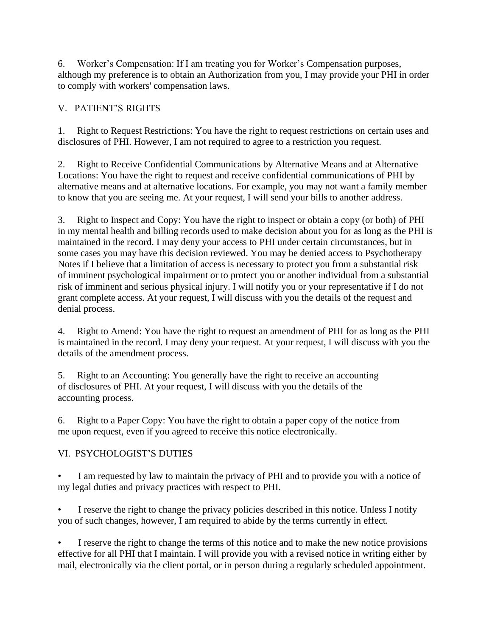6. Worker's Compensation: If I am treating you for Worker's Compensation purposes, although my preference is to obtain an Authorization from you, I may provide your PHI in order to comply with workers' compensation laws.

## V. PATIENT'S RIGHTS

1. Right to Request Restrictions: You have the right to request restrictions on certain uses and disclosures of PHI. However, I am not required to agree to a restriction you request.

2. Right to Receive Confidential Communications by Alternative Means and at Alternative Locations: You have the right to request and receive confidential communications of PHI by alternative means and at alternative locations. For example, you may not want a family member to know that you are seeing me. At your request, I will send your bills to another address.

3. Right to Inspect and Copy: You have the right to inspect or obtain a copy (or both) of PHI in my mental health and billing records used to make decision about you for as long as the PHI is maintained in the record. I may deny your access to PHI under certain circumstances, but in some cases you may have this decision reviewed. You may be denied access to Psychotherapy Notes if I believe that a limitation of access is necessary to protect you from a substantial risk of imminent psychological impairment or to protect you or another individual from a substantial risk of imminent and serious physical injury. I will notify you or your representative if I do not grant complete access. At your request, I will discuss with you the details of the request and denial process.

4. Right to Amend: You have the right to request an amendment of PHI for as long as the PHI is maintained in the record. I may deny your request. At your request, I will discuss with you the details of the amendment process.

5. Right to an Accounting: You generally have the right to receive an accounting of disclosures of PHI. At your request, I will discuss with you the details of the accounting process.

6. Right to a Paper Copy: You have the right to obtain a paper copy of the notice from me upon request, even if you agreed to receive this notice electronically.

# VI. PSYCHOLOGIST'S DUTIES

I am requested by law to maintain the privacy of PHI and to provide you with a notice of my legal duties and privacy practices with respect to PHI.

• I reserve the right to change the privacy policies described in this notice. Unless I notify you of such changes, however, I am required to abide by the terms currently in effect.

I reserve the right to change the terms of this notice and to make the new notice provisions effective for all PHI that I maintain. I will provide you with a revised notice in writing either by mail, electronically via the client portal, or in person during a regularly scheduled appointment.